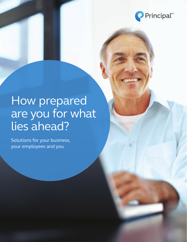

# How prepared are you for what lies ahead?

Solutions for your business, your employees and you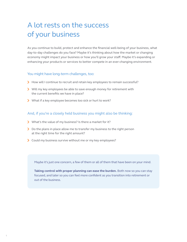### A lot rests on the success of your business

As you continue to build, protect and enhance the financial well-being of your business, what day-to-day challenges do you face? Maybe it's thinking about how the market or changing economy might impact your business or how you'll grow your staff. Maybe it's expanding or enhancing your products or services to better compete in an ever-changing environment.

#### You might have long-term challenges, too:

- How will I continue to recruit and retain key employees to remain successful?
- Will my key employees be able to save enough money for retirement with the current benefits we have in place?
- What if a key employee becomes too sick or hurt to work?

#### And, if you're a closely held business you might also be thinking:

- What's the value of my business? Is there a market for it?
- Do the plans in place allow me to transfer my business to the right person at the right time for the right amount?
- Could my business survive without me or my key employees?

Maybe it's just one concern, a few of them or all of them that have been on your mind.

**Taking control with proper planning can ease the burden.** Both now so you can stay focused, and later so you can feel more confident as you transition into retirement or out of the business.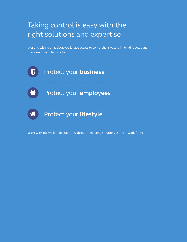### Taking control is easy with the right solutions and expertise

Working with your advisor, you'll have access to comprehensive and innovative solutions to address multiple ways to:



**Work with us!** We'll help guide you through selecting solutions that can work for you.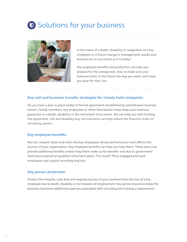# **D** Solutions for your business



In the event of a death, disability or resignation of a key employee or a future change in management, would your business be as successful as it is today?

Key employee benefits and protection can help you prepare for the unexpected. And, to make sure your business exists in the future the way you want, we'll help you plan for that, too.

#### **Buy-sell and business transfer strategies for closely held companies**

Do you have a plan in place today? A formal agreement established by and between business owners, family members, key employees or other third parties helps keep your business going due to a death, disability or the retirement of an owner. We can help you with funding the agreement. Life and disability buy-out insurance can help reduce the financial strain on remaining owners.

#### **Key employee benefits**

Recruit, reward, retain and retire the key employees whose performance most affects the success of your organization. Key employee benefits can help you help them. These plans can provide additional benefits and/or help them make up for benefits lost due to government restrictions placed on qualified retirement plans. The result? More engaged and loyal employees and a great recruiting tool too.

#### **Key person protection**

Protect the integrity, cash flow and ongoing success of your business from the loss of a key employee due to death, disability or termination of employment. Key person insurance helps the business overcome additional expenses associated with recruiting and training a replacement.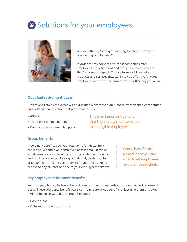# 89 Solutions for your employees



Are you offering (or maybe wanting to offer) retirement plans and group benefits?

In order to stay competitive, most companies offer employees the retirement and group insurance benefits they've come to expect. Choose from a wide variety of products and services that can help you offer the features employees want with the administrative efficiency you need.

> This is an important benefit that is generally made available

to all eligible employees.

#### **Qualified retirement plans**

Attract and retain employees with a qualified retirement plan. Choose from defined contribution and defined benefit retirement plans that include:

- 401(k)
- Traditional defined benefit
- Employee stock ownership plans

**Group benefits**

Providing a benefits package that works for all can be a challenge. Whether your employee base is small, large or in between, you can depend on us to provide the products and services you need. Tailor group dental, disability, life, vision and critical illness solutions to fit your needs. You can choose to pay all, part or none of your employees' benefits.

Group benefits are a great perk you can offer to all employees and their dependents.

#### **Key employee retirement benefits**

Your top people may be losing benefits due to government restrictions on qualified retirement plans. These additional benefit plans can help restore lost benefits or just give them an added perk for being so valuable. Examples include:

- Bonus plans
- Deferred compensation plans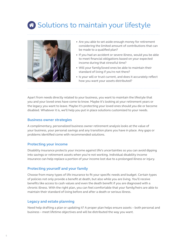# **6** Solutions to maintain your lifestyle



- Are you able to set aside enough money for retirement considering the limited amount of contributions that can be made to a qualified plan?
- If you had an accident or severe illness, would you be able to meet financial obligations based on your expected income during that stressful time?
- Will your family/loved ones be able to maintain their standard of living if you're not there?
- Is your will or trust current, and does it accurately reflect how you want your assets distributed?

Apart from needs directly related to your business, you want to maintain the lifestyle that you and your loved ones have come to know. Maybe it's looking at your retirement years or the legacy you want to leave. Maybe it's protecting your loved ones should you die or become disabled. Whatever it is, we'll help you put in place solutions customized to your needs.

#### **Business owner strategies**

A complimentary, personalized business owner retirement analysis looks at the value of your business, your personal savings and any transition plans you have in place. Any gaps or problems identified come with recommended solutions.

#### **Protecting your income**

Disability insurance protects your income against life's uncertainties so you can avoid dipping into savings or retirement assets when you're not working. Individual disability income insurance can help replace a portion of your income lost due to a prolonged illness or injury.

#### **Protecting yourself and your family**

Choose from many types of life insurance to fit your specific needs and budget. Certain types of policies not only provide a benefit at death, but also while you are living. You'll receive benefits like access to cash values and even the death benefit if you are diagnosed with a chronic illness. With the right plan, you can feel comfortable that your family/heirs are able to maintain their standard of living before and after a death or serious illness.

#### **Legacy and estate planning**

Need help drafting a plan or updating it? A proper plan helps ensure assets – both personal and business – meet lifetime objectives and will be distributed the way you want.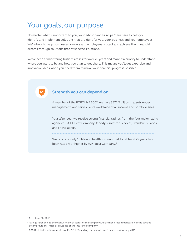### Your goals, our purpose

No matter what is important to you, your advisor and Principal® are here to help you identify and implement solutions that are right for you, your business and your employees. We're here to help businesses, owners and employees protect and achieve their financial dreams through solutions that fit specific situations.

We've been administering business cases for over 20 years and make it a priority to understand where you want to be and how you plan to get there. This means you'll get expertise and innovative ideas when you need them to make your financial progress possible.

#### **Strength you can depend on**

A member of the FORTUNE 500®, we have \$572.2 billion in assets under management<sup>1</sup> and serve clients worldwide of all income and portfolio sizes.

Year after year we receive strong financial ratings from the four major rating agencies – A.M. Best Company, Moody's Investor Services, Standard & Poor's and Fitch Ratings.

We're one of only 13 life and health insurers that for at least 75 years has been rated A or higher by A.M. Best Company.<sup>3</sup>

<sup>1</sup> As of June 30, 2016

<sup>&</sup>lt;sup>2</sup> Ratings refer only to the overall financial status of the company and are not a recommendation of the specific policy provisions, rates or practices of the insurance company.

<sup>&</sup>lt;sup>3</sup> A.M. Best Data, ratings as of May 15, 2011, "Standing the Test of Time" Best's Review, July 2011